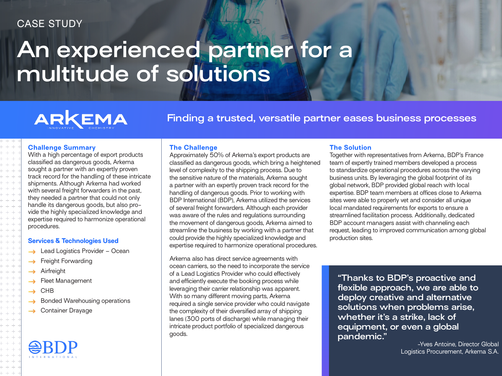### CASE STUDY

# **An experienced partner for a multitude of solutions**

## ARKEMA

**Finding a trusted, versatile partner eases business processes**

#### **Challenge Summary**

With a high percentage of export products classified as dangerous goods, Arkema sought a partner with an expertly proven track record for the handling of these intricate shipments. Although Arkema had worked with several freight forwarders in the past, they needed a partner that could not only handle its dangerous goods, but also provide the highly specialized knowledge and expertise required to harmonize operational procedures.

#### **Services & Technologies Used**

- $\rightarrow$  Lead Logistics Provider Ocean
- $\rightarrow$  Freight Forwarding
- Airfreight
- Fleet Management
- CHB  $\rightarrow$
- Bonded Warehousing operations
- $\rightarrow$  Container Drayage

#### **The Challenge**

Approximately 50% of Arkema's export products are classified as dangerous goods, which bring a heightened level of complexity to the shipping process. Due to the sensitive nature of the materials, Arkema sought a partner with an expertly proven track record for the handling of dangerous goods. Prior to working with BDP International (BDP), Arkema utilized the services of several freight forwarders. Although each provider was aware of the rules and regulations surrounding the movement of dangerous goods, Arkema aimed to streamline the business by working with a partner that could provide the highly specialized knowledge and expertise required to harmonize operational procedures.

Arkema also has direct service agreements with ocean carriers, so the need to incorporate the service of a Lead Logistics Provider who could effectively and efficiently execute the booking process while leveraging their carrier relationship was apparent. With so many different moving parts, Arkema required a single service provider who could navigate the complexity of their diversified array of shipping lanes (300 ports of discharge) while managing their intricate product portfolio of specialized dangerous goods.

#### **The Solution**

Together with representatives from Arkema, BDP's France team of expertly trained members developed a process to standardize operational procedures across the varying business units. By leveraging the global footprint of its global network, BDP provided global reach with local expertise. BDP team members at offices close to Arkema sites were able to properly vet and consider all unique local mandated requirements for exports to ensure a streamlined facilitation process. Additionally, dedicated BDP account managers assist with channeling each request, leading to improved communication among global production sites.

**"Thanks to BDP's proactive and flexible approach, we are able to deploy creative and alternative solutions when problems arise, whether it's a strike, lack of equipment, or even a global pandemic."**

-Yves Antoine, Director Global Logistics Procurement, Arkema S.A.